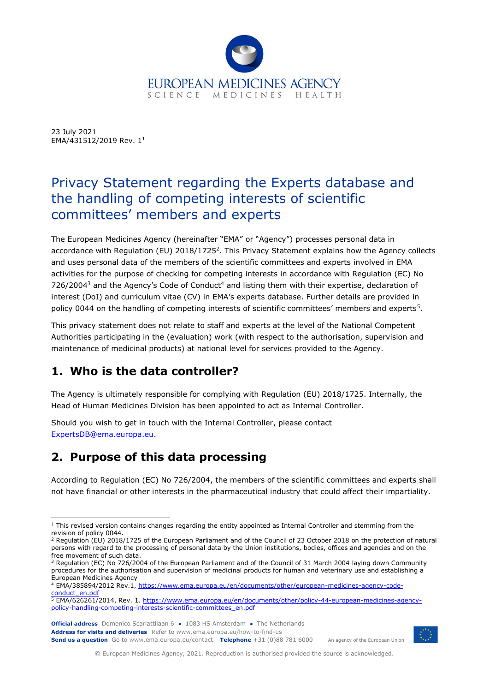

23 July 2021 EMA/431512/2019 Rev. 1<sup>1</sup>

# Privacy Statement regarding the Experts database and the handling of competing interests of scientific committees' members and experts

The European Medicines Agency (hereinafter "EMA" or "Agency") processes personal data in accordance with Regulation (EU) 2018/1725<sup>2</sup>. This Privacy Statement explains how the Agency collects and uses personal data of the members of the scientific committees and experts involved in EMA activities for the purpose of checking for competing interests in accordance with Regulation (EC) No  $726/2004<sup>3</sup>$  and the Agency's Code of Conduct<sup>4</sup> and listing them with their expertise, declaration of interest (DoI) and curriculum vitae (CV) in EMA's experts database. Further details are provided in policy 0044 on the handling of competing interests of scientific committees' members and experts<sup>5</sup>.

This privacy statement does not relate to staff and experts at the level of the National Competent Authorities participating in the (evaluation) work (with respect to the authorisation, supervision and maintenance of medicinal products) at national level for services provided to the Agency.

# **1. Who is the data controller?**

The Agency is ultimately responsible for complying with Regulation (EU) 2018/1725. Internally, the Head of Human Medicines Division has been appointed to act as Internal Controller.

Should you wish to get in touch with the Internal Controller, please contact [ExpertsDB@ema.europa.eu.](mailto:ExpertsDB@ema.europa.eu)

## **2. Purpose of this data processing**

According to Regulation (EC) No 726/2004, the members of the scientific committees and experts shall not have financial or other interests in the pharmaceutical industry that could affect their impartiality.



An agency of the European Union

© European Medicines Agency, 2021. Reproduction is authorised provided the source is acknowledged.

 $1$  This revised version contains changes regarding the entity appointed as Internal Controller and stemming from the revision of policy 0044.

 $2$  Regulation (EU) 2018/1725 of the European Parliament and of the Council of 23 October 2018 on the protection of natural persons with regard to the processing of personal data by the Union institutions, bodies, offices and agencies and on the free movement of such data.

<sup>&</sup>lt;sup>3</sup> Regulation (EC) No 726/2004 of the European Parliament and of the Council of 31 March 2004 laying down Community procedures for the authorisation and supervision of medicinal products for human and veterinary use and establishing a European Medicines Agency

<sup>4</sup> EMA/385894/2012 Rev.1[, https://www.ema.europa.eu/en/documents/other/european-medicines-agency-code](https://www.ema.europa.eu/en/documents/other/european-medicines-agency-code-conduct_en.pdf)[conduct\\_en.pdf](https://www.ema.europa.eu/en/documents/other/european-medicines-agency-code-conduct_en.pdf)

<sup>&</sup>lt;sup>5</sup> EMA/626261/2014, Rev. 1. [https://www.ema.europa.eu/en/documents/other/policy-44-european-medicines-agency](https://www.ema.europa.eu/en/documents/other/policy-44-european-medicines-agency-policy-handling-competing-interests-scientific-committees_en.pdf)[policy-handling-competing-interests-scientific-committees\\_en.pdf](https://www.ema.europa.eu/en/documents/other/policy-44-european-medicines-agency-policy-handling-competing-interests-scientific-committees_en.pdf)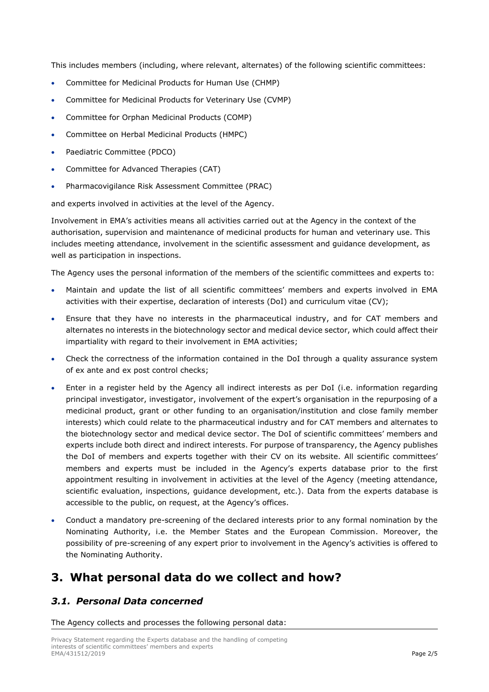This includes members (including, where relevant, alternates) of the following scientific committees:

- Committee for Medicinal Products for Human Use (CHMP)
- Committee for Medicinal Products for Veterinary Use (CVMP)
- Committee for Orphan Medicinal Products (COMP)
- Committee on Herbal Medicinal Products (HMPC)
- Paediatric Committee (PDCO)
- Committee for Advanced Therapies (CAT)
- Pharmacovigilance Risk Assessment Committee (PRAC)

and experts involved in activities at the level of the Agency.

Involvement in EMA's activities means all activities carried out at the Agency in the context of the authorisation, supervision and maintenance of medicinal products for human and veterinary use. This includes meeting attendance, involvement in the scientific assessment and guidance development, as well as participation in inspections.

The Agency uses the personal information of the members of the scientific committees and experts to:

- Maintain and update the list of all scientific committees' members and experts involved in EMA activities with their expertise, declaration of interests (DoI) and curriculum vitae (CV);
- Ensure that they have no interests in the pharmaceutical industry, and for CAT members and alternates no interests in the biotechnology sector and medical device sector, which could affect their impartiality with regard to their involvement in EMA activities;
- Check the correctness of the information contained in the DoI through a quality assurance system of ex ante and ex post control checks;
- Enter in a register held by the Agency all indirect interests as per DoI (i.e. information regarding principal investigator, investigator, involvement of the expert's organisation in the repurposing of a medicinal product, grant or other funding to an organisation/institution and close family member interests) which could relate to the pharmaceutical industry and for CAT members and alternates to the biotechnology sector and medical device sector. The DoI of scientific committees' members and experts include both direct and indirect interests. For purpose of transparency, the Agency publishes the DoI of members and experts together with their CV on its website. All scientific committees' members and experts must be included in the Agency's experts database prior to the first appointment resulting in involvement in activities at the level of the Agency (meeting attendance, scientific evaluation, inspections, guidance development, etc.). Data from the experts database is accessible to the public, on request, at the Agency's offices.
- Conduct a mandatory pre-screening of the declared interests prior to any formal nomination by the Nominating Authority, i.e. the Member States and the European Commission. Moreover, the possibility of pre-screening of any expert prior to involvement in the Agency's activities is offered to the Nominating Authority.

### **3. What personal data do we collect and how?**

#### *3.1. Personal Data concerned*

The Agency collects and processes the following personal data: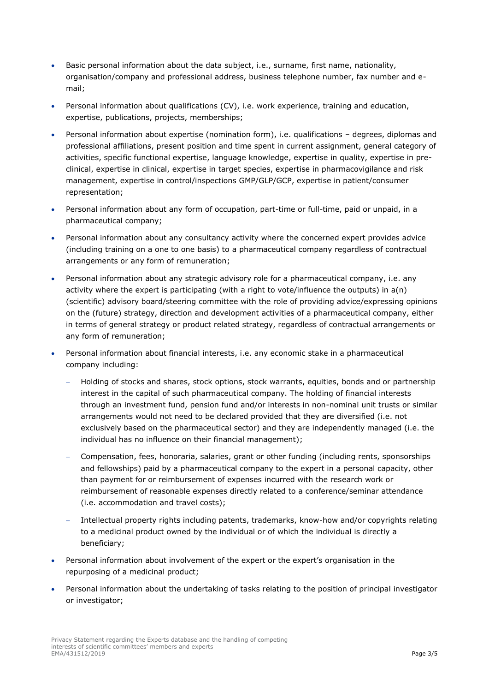- Basic personal information about the data subject, i.e., surname, first name, nationality, organisation/company and professional address, business telephone number, fax number and email;
- Personal information about qualifications (CV), i.e. work experience, training and education, expertise, publications, projects, memberships;
- Personal information about expertise (nomination form), i.e. qualifications degrees, diplomas and professional affiliations, present position and time spent in current assignment, general category of activities, specific functional expertise, language knowledge, expertise in quality, expertise in preclinical, expertise in clinical, expertise in target species, expertise in pharmacovigilance and risk management, expertise in control/inspections GMP/GLP/GCP, expertise in patient/consumer representation;
- Personal information about any form of occupation, part-time or full-time, paid or unpaid, in a pharmaceutical company;
- Personal information about any consultancy activity where the concerned expert provides advice (including training on a one to one basis) to a pharmaceutical company regardless of contractual arrangements or any form of remuneration;
- Personal information about any strategic advisory role for a pharmaceutical company, i.e. any activity where the expert is participating (with a right to vote/influence the outputs) in a(n) (scientific) advisory board/steering committee with the role of providing advice/expressing opinions on the (future) strategy, direction and development activities of a pharmaceutical company, either in terms of general strategy or product related strategy, regardless of contractual arrangements or any form of remuneration;
- Personal information about financial interests, i.e. any economic stake in a pharmaceutical company including:
	- − Holding of stocks and shares, stock options, stock warrants, equities, bonds and or partnership interest in the capital of such pharmaceutical company. The holding of financial interests through an investment fund, pension fund and/or interests in non-nominal unit trusts or similar arrangements would not need to be declared provided that they are diversified (i.e. not exclusively based on the pharmaceutical sector) and they are independently managed (i.e. the individual has no influence on their financial management);
	- − Compensation, fees, honoraria, salaries, grant or other funding (including rents, sponsorships and fellowships) paid by a pharmaceutical company to the expert in a personal capacity, other than payment for or reimbursement of expenses incurred with the research work or reimbursement of reasonable expenses directly related to a conference/seminar attendance (i.e. accommodation and travel costs);
	- − Intellectual property rights including patents, trademarks, know-how and/or copyrights relating to a medicinal product owned by the individual or of which the individual is directly a beneficiary;
- Personal information about involvement of the expert or the expert's organisation in the repurposing of a medicinal product;
- Personal information about the undertaking of tasks relating to the position of principal investigator or investigator;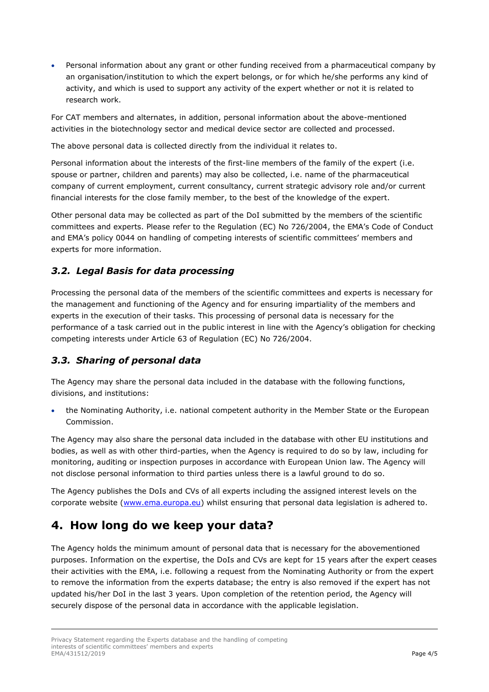• Personal information about any grant or other funding received from a pharmaceutical company by an organisation/institution to which the expert belongs, or for which he/she performs any kind of activity, and which is used to support any activity of the expert whether or not it is related to research work.

For CAT members and alternates, in addition, personal information about the above-mentioned activities in the biotechnology sector and medical device sector are collected and processed.

The above personal data is collected directly from the individual it relates to.

Personal information about the interests of the first-line members of the family of the expert (i.e. spouse or partner, children and parents) may also be collected, i.e. name of the pharmaceutical company of current employment, current consultancy, current strategic advisory role and/or current financial interests for the close family member, to the best of the knowledge of the expert.

Other personal data may be collected as part of the DoI submitted by the members of the scientific committees and experts. Please refer to the Regulation (EC) No 726/2004, the EMA's Code of Conduct and EMA's policy 0044 on handling of competing interests of scientific committees' members and experts for more information.

#### *3.2. Legal Basis for data processing*

Processing the personal data of the members of the scientific committees and experts is necessary for the management and functioning of the Agency and for ensuring impartiality of the members and experts in the execution of their tasks. This processing of personal data is necessary for the performance of a task carried out in the public interest in line with the Agency's obligation for checking competing interests under Article 63 of Regulation (EC) No 726/2004.

#### *3.3. Sharing of personal data*

The Agency may share the personal data included in the database with the following functions, divisions, and institutions:

• the Nominating Authority, i.e. national competent authority in the Member State or the European Commission.

The Agency may also share the personal data included in the database with other EU institutions and bodies, as well as with other third-parties, when the Agency is required to do so by law, including for monitoring, auditing or inspection purposes in accordance with European Union law. The Agency will not disclose personal information to third parties unless there is a lawful ground to do so.

The Agency publishes the DoIs and CVs of all experts including the assigned interest levels on the corporate website [\(www.ema.europa.eu\)](http://www.ema.europa.eu/) whilst ensuring that personal data legislation is adhered to.

### **4. How long do we keep your data?**

The Agency holds the minimum amount of personal data that is necessary for the abovementioned purposes. Information on the expertise, the DoIs and CVs are kept for 15 years after the expert ceases their activities with the EMA, i.e. following a request from the Nominating Authority or from the expert to remove the information from the experts database; the entry is also removed if the expert has not updated his/her DoI in the last 3 years. Upon completion of the retention period, the Agency will securely dispose of the personal data in accordance with the applicable legislation.